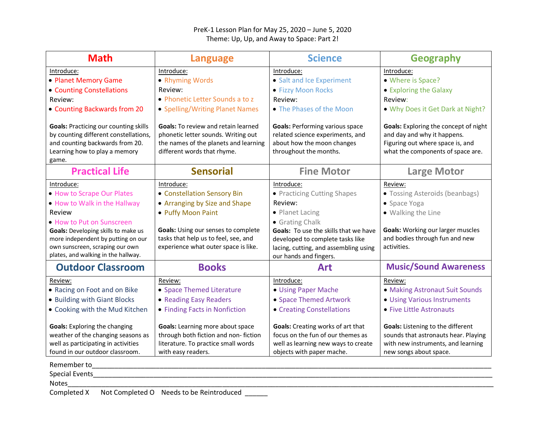## PreK-1 Lesson Plan for May 25, 2020 – June 5, 2020 Theme: Up, Up, and Away to Space: Part 2!

| <b>Math</b>                                                                                                                                                                             | <b>Language</b>                                                                                                                                           | <b>Science</b>                                                                                                                                                  | <b>Geography</b>                                                                                                                                     |
|-----------------------------------------------------------------------------------------------------------------------------------------------------------------------------------------|-----------------------------------------------------------------------------------------------------------------------------------------------------------|-----------------------------------------------------------------------------------------------------------------------------------------------------------------|------------------------------------------------------------------------------------------------------------------------------------------------------|
| Introduce:                                                                                                                                                                              | Introduce:                                                                                                                                                | Introduce:                                                                                                                                                      | Introduce:                                                                                                                                           |
| • Planet Memory Game                                                                                                                                                                    | • Rhyming Words                                                                                                                                           | • Salt and Ice Experiment                                                                                                                                       | • Where is Space?                                                                                                                                    |
| • Counting Constellations                                                                                                                                                               | Review:                                                                                                                                                   | • Fizzy Moon Rocks                                                                                                                                              | • Exploring the Galaxy                                                                                                                               |
| Review:                                                                                                                                                                                 | • Phonetic Letter Sounds a to z                                                                                                                           | Review:                                                                                                                                                         | Review:                                                                                                                                              |
| • Counting Backwards from 20                                                                                                                                                            | • Spelling/Writing Planet Names                                                                                                                           | • The Phases of the Moon                                                                                                                                        | . Why Does it Get Dark at Night?                                                                                                                     |
| <b>Goals: Practicing our counting skills</b><br>by counting different constellations,<br>and counting backwards from 20.<br>Learning how to play a memory<br>game.                      | <b>Goals:</b> To review and retain learned<br>phonetic letter sounds. Writing out<br>the names of the planets and learning<br>different words that rhyme. | <b>Goals: Performing various space</b><br>related science experiments, and<br>about how the moon changes<br>throughout the months.                              | <b>Goals:</b> Exploring the concept of night<br>and day and why it happens.<br>Figuring out where space is, and<br>what the components of space are. |
| <b>Practical Life</b>                                                                                                                                                                   | <b>Sensorial</b>                                                                                                                                          | <b>Fine Motor</b>                                                                                                                                               | <b>Large Motor</b>                                                                                                                                   |
| Introduce:                                                                                                                                                                              | Introduce:                                                                                                                                                | Introduce:                                                                                                                                                      | Review:                                                                                                                                              |
| • How to Scrape Our Plates                                                                                                                                                              | • Constellation Sensory Bin                                                                                                                               | • Practicing Cutting Shapes                                                                                                                                     | • Tossing Asteroids (beanbags)                                                                                                                       |
| . How to Walk in the Hallway                                                                                                                                                            | • Arranging by Size and Shape                                                                                                                             | Review:                                                                                                                                                         | • Space Yoga                                                                                                                                         |
| Review                                                                                                                                                                                  | • Puffy Moon Paint                                                                                                                                        | • Planet Lacing                                                                                                                                                 | • Walking the Line                                                                                                                                   |
| • How to Put on Sunscreen<br><b>Goals:</b> Developing skills to make us<br>more independent by putting on our<br>own sunscreen, scraping our own<br>plates, and walking in the hallway. | Goals: Using our senses to complete<br>tasks that help us to feel, see, and<br>experience what outer space is like.                                       | • Grating Chalk<br>Goals: To use the skills that we have<br>developed to complete tasks like<br>lacing, cutting, and assembling using<br>our hands and fingers. | <b>Goals:</b> Working our larger muscles<br>and bodies through fun and new<br>activities.                                                            |
| <b>Outdoor Classroom</b>                                                                                                                                                                | <b>Books</b>                                                                                                                                              | <b>Art</b>                                                                                                                                                      | <b>Music/Sound Awareness</b>                                                                                                                         |
| Review:                                                                                                                                                                                 | Review:                                                                                                                                                   | Introduce:                                                                                                                                                      | Review:                                                                                                                                              |
| . Racing on Foot and on Bike                                                                                                                                                            | • Space Themed Literature                                                                                                                                 | • Using Paper Mache                                                                                                                                             | • Making Astronaut Suit Sounds                                                                                                                       |
| • Building with Giant Blocks                                                                                                                                                            | • Reading Easy Readers                                                                                                                                    | • Space Themed Artwork                                                                                                                                          | • Using Various Instruments                                                                                                                          |
| • Cooking with the Mud Kitchen                                                                                                                                                          | • Finding Facts in Nonfiction                                                                                                                             | • Creating Constellations                                                                                                                                       | • Five Little Astronauts                                                                                                                             |
| <b>Goals:</b> Exploring the changing<br>weather of the changing seasons as<br>well as participating in activities<br>found in our outdoor classroom.                                    | Goals: Learning more about space<br>through both fiction and non-fiction<br>literature. To practice small words<br>with easy readers.                     | <b>Goals:</b> Creating works of art that<br>focus on the fun of our themes as<br>well as learning new ways to create<br>objects with paper mache.               | Goals: Listening to the different<br>sounds that astronauts hear. Playing<br>with new instruments, and learning<br>new songs about space.            |
| Remember to                                                                                                                                                                             |                                                                                                                                                           |                                                                                                                                                                 |                                                                                                                                                      |
| <b>Special Events</b>                                                                                                                                                                   |                                                                                                                                                           |                                                                                                                                                                 |                                                                                                                                                      |
| <b>Notes</b>                                                                                                                                                                            |                                                                                                                                                           |                                                                                                                                                                 |                                                                                                                                                      |

Completed X Not Completed O Needs to be Reintroduced